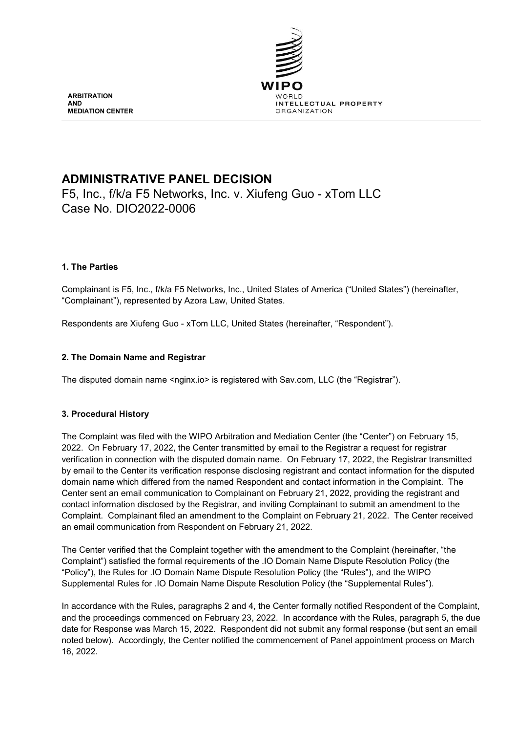

**ARBITRATION AND MEDIATION CENTER**

# **ADMINISTRATIVE PANEL DECISION**

F5, Inc., f/k/a F5 Networks, Inc. v. Xiufeng Guo - xTom LLC Case No. DIO2022-0006

# **1. The Parties**

Complainant is F5, Inc., f/k/a F5 Networks, Inc., United States of America ("United States") (hereinafter, "Complainant"), represented by Azora Law, United States.

Respondents are Xiufeng Guo - xTom LLC, United States (hereinafter, "Respondent").

# **2. The Domain Name and Registrar**

The disputed domain name <nginx.io> is registered with Sav.com, LLC (the "Registrar").

### **3. Procedural History**

The Complaint was filed with the WIPO Arbitration and Mediation Center (the "Center") on February 15, 2022. On February 17, 2022, the Center transmitted by email to the Registrar a request for registrar verification in connection with the disputed domain name. On February 17, 2022, the Registrar transmitted by email to the Center its verification response disclosing registrant and contact information for the disputed domain name which differed from the named Respondent and contact information in the Complaint. The Center sent an email communication to Complainant on February 21, 2022, providing the registrant and contact information disclosed by the Registrar, and inviting Complainant to submit an amendment to the Complaint. Complainant filed an amendment to the Complaint on February 21, 2022. The Center received an email communication from Respondent on February 21, 2022.

The Center verified that the Complaint together with the amendment to the Complaint (hereinafter, "the Complaint") satisfied the formal requirements of the .IO Domain Name Dispute Resolution Policy (the "Policy"), the Rules for .IO Domain Name Dispute Resolution Policy (the "Rules"), and the WIPO Supplemental Rules for .IO Domain Name Dispute Resolution Policy (the "Supplemental Rules").

In accordance with the Rules, paragraphs 2 and 4, the Center formally notified Respondent of the Complaint, and the proceedings commenced on February 23, 2022. In accordance with the Rules, paragraph 5, the due date for Response was March 15, 2022. Respondent did not submit any formal response (but sent an email noted below). Accordingly, the Center notified the commencement of Panel appointment process on March 16, 2022.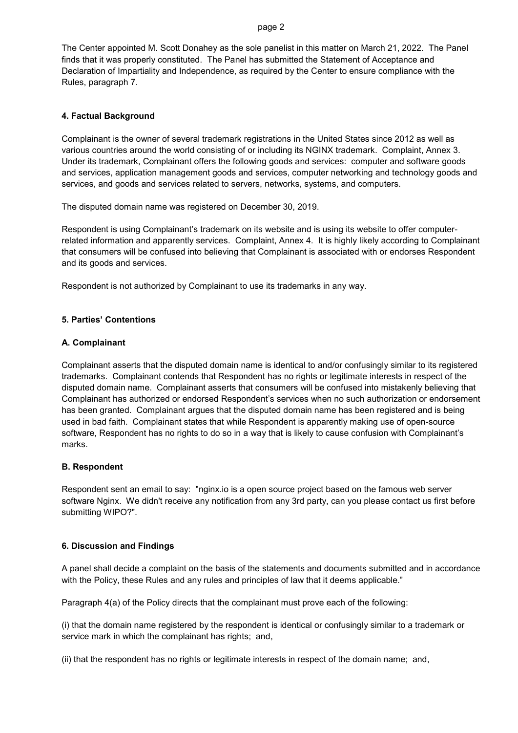#### page 2

The Center appointed M. Scott Donahey as the sole panelist in this matter on March 21, 2022. The Panel finds that it was properly constituted. The Panel has submitted the Statement of Acceptance and Declaration of Impartiality and Independence, as required by the Center to ensure compliance with the Rules, paragraph 7.

### **4. Factual Background**

Complainant is the owner of several trademark registrations in the United States since 2012 as well as various countries around the world consisting of or including its NGINX trademark. Complaint, Annex 3. Under its trademark, Complainant offers the following goods and services: computer and software goods and services, application management goods and services, computer networking and technology goods and services, and goods and services related to servers, networks, systems, and computers.

The disputed domain name was registered on December 30, 2019.

Respondent is using Complainant's trademark on its website and is using its website to offer computerrelated information and apparently services. Complaint, Annex 4. It is highly likely according to Complainant that consumers will be confused into believing that Complainant is associated with or endorses Respondent and its goods and services.

Respondent is not authorized by Complainant to use its trademarks in any way.

# **5. Parties' Contentions**

### **A. Complainant**

Complainant asserts that the disputed domain name is identical to and/or confusingly similar to its registered trademarks. Complainant contends that Respondent has no rights or legitimate interests in respect of the disputed domain name. Complainant asserts that consumers will be confused into mistakenly believing that Complainant has authorized or endorsed Respondent's services when no such authorization or endorsement has been granted. Complainant argues that the disputed domain name has been registered and is being used in bad faith. Complainant states that while Respondent is apparently making use of open-source software, Respondent has no rights to do so in a way that is likely to cause confusion with Complainant's marks.

### **B. Respondent**

Respondent sent an email to say: "nginx.io is a open source project based on the famous web server software Nginx. We didn't receive any notification from any 3rd party, can you please contact us first before submitting WIPO?".

### **6. Discussion and Findings**

A panel shall decide a complaint on the basis of the statements and documents submitted and in accordance with the Policy, these Rules and any rules and principles of law that it deems applicable."

Paragraph 4(a) of the Policy directs that the complainant must prove each of the following:

(i) that the domain name registered by the respondent is identical or confusingly similar to a trademark or service mark in which the complainant has rights; and,

(ii) that the respondent has no rights or legitimate interests in respect of the domain name; and,